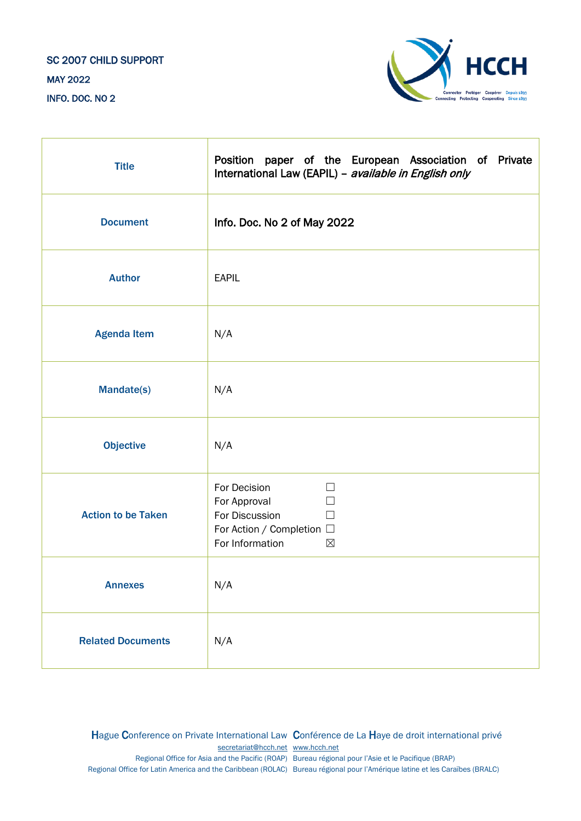## SC 2007 CHILD SUPPORT MAY 2022 INFO. DOC. NO 2



| <b>Title</b>              | Position paper of the European Association of Private<br>International Law (EAPIL) - available in English only                         |
|---------------------------|----------------------------------------------------------------------------------------------------------------------------------------|
| <b>Document</b>           | Info. Doc. No 2 of May 2022                                                                                                            |
| <b>Author</b>             | <b>EAPIL</b>                                                                                                                           |
| <b>Agenda Item</b>        | N/A                                                                                                                                    |
| <b>Mandate(s)</b>         | N/A                                                                                                                                    |
| <b>Objective</b>          | N/A                                                                                                                                    |
| <b>Action to be Taken</b> | For Decision<br>$\Box$<br>For Approval<br>$\Box$<br>For Discussion<br>П<br>For Action / Completion □<br>For Information<br>$\boxtimes$ |
| <b>Annexes</b>            | N/A                                                                                                                                    |
| <b>Related Documents</b>  | N/A                                                                                                                                    |

Hague Conference on Private International Law Conférence de La Haye de droit international privé [secretariat@hcch.net](mailto:secretariat@hcch.net) [www.hcch.net](http://www.hcch.net/) Regional Office for Asia and the Pacific (ROAP) Bureau régional pour l'Asie et le Pacifique (BRAP) Regional Office for Latin America and the Caribbean (ROLAC) Bureau régional pour l'Amérique latine et les Caraïbes (BRALC)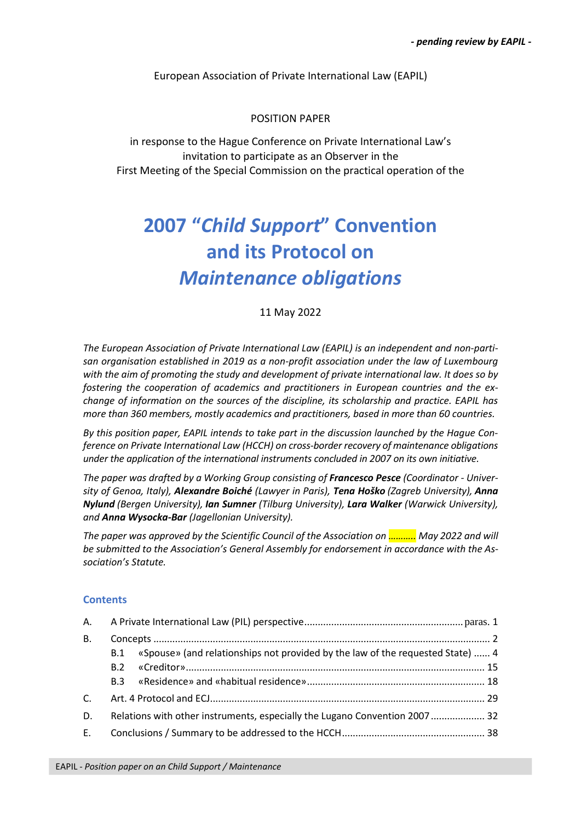European Association of Private International Law (EAPIL)

## POSITION PAPER

in response to the Hague Conference on Private International Law's invitation to participate as an Observer in the First Meeting of the Special Commission on the practical operation of the

## **2007 "***Child Support***" Convention and its Protocol on** *Maintenance obligations*

11 May 2022

*The European Association of Private International Law (EAPIL) is an independent and non-partisan organisation established in 2019 as a non-profit association under the law of Luxembourg with the aim of promoting the study and development of private international law. It does so by fostering the cooperation of academics and practitioners in European countries and the exchange of information on the sources of the discipline, its scholarship and practice. EAPIL has more than 360 members, mostly academics and practitioners, based in more than 60 countries.*

*By this position paper, EAPIL intends to take part in the discussion launched by the Hague Conference on Private International Law (HCCH) on cross-border recovery of maintenance obligations under the application of the international instruments concluded in 2007 on its own initiative.*

*The paper was drafted by a Working Group consisting of Francesco Pesce (Coordinator - University of Genoa, Italy), Alexandre Boiché (Lawyer in Paris), Tena Hoško (Zagreb University), Anna Nylund (Bergen University), Ian Sumner (Tilburg University), Lara Walker (Warwick University), and Anna Wysocka-Bar (Jagellonian University).*

*The paper was approved by the Scientific Council of the Association on ……….. May 2022 and will be submitted to the Association's General Assembly for endorsement in accordance with the Association's Statute.*

## **Contents**

| А.        |     |                                                                                |  |
|-----------|-----|--------------------------------------------------------------------------------|--|
| <b>B.</b> |     |                                                                                |  |
|           | B.1 | «Spouse» (and relationships not provided by the law of the requested State)  4 |  |
|           | B.2 |                                                                                |  |
|           | B.3 |                                                                                |  |
| C.        |     |                                                                                |  |
| D.        |     | Relations with other instruments, especially the Lugano Convention 2007 32     |  |
| E.        |     |                                                                                |  |